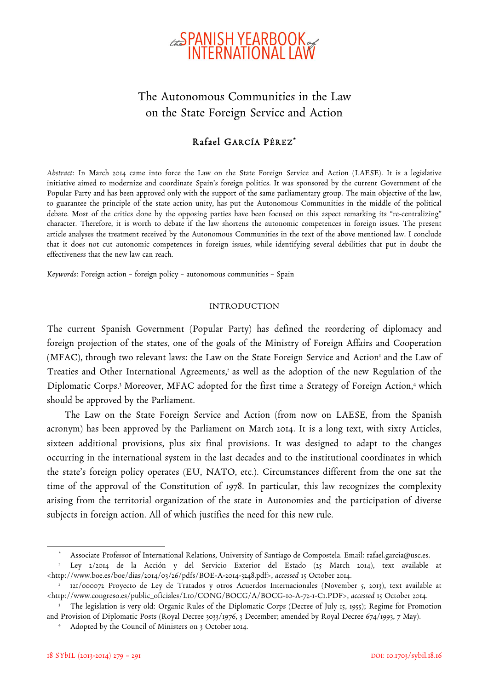

# The Autonomous Communities in the Law on the State Foreign Service and Action

## Rafael GARCÍA PÉREZ\*

*Abstract*: In March 2014 came into force the Law on the State Foreign Service and Action (LAESE). It is a legislative initiative aimed to modernize and coordinate Spain's foreign politics. It was sponsored by the current Government of the Popular Party and has been approved only with the support of the same parliamentary group. The main objective of the law, to guarantee the principle of the state action unity, has put the Autonomous Communities in the middle of the political debate. Most of the critics done by the opposing parties have been focused on this aspect remarking its "re-centralizing" character. Therefore, it is worth to debate if the law shortens the autonomic competences in foreign issues. The present article analyses the treatment received by the Autonomous Communities in the text of the above mentioned law. I conclude that it does not cut autonomic competences in foreign issues, while identifying several debilities that put in doubt the effectiveness that the new law can reach.

*Keywords*: Foreign action – foreign policy – autonomous communities – Spain

#### INTRODUCTION

The current Spanish Government (Popular Party) has defined the reordering of diplomacy and foreign projection of the states, one of the goals of the Ministry of Foreign Affairs and Cooperation (MFAC), through two relevant laws: the Law on the State Foreign Service and Action<sup>1</sup> and the Law of Treaties and Other International Agreements,<sup>2</sup> as well as the adoption of the new Regulation of the Diplomatic Corps.<sup>3</sup> Moreover, MFAC adopted for the first time a Strategy of Foreign Action,<sup>4</sup> which should be approved by the Parliament.

The Law on the State Foreign Service and Action (from now on LAESE, from the Spanish acronym) has been approved by the Parliament on March 2014. It is a long text, with sixty Articles, sixteen additional provisions, plus six final provisions. It was designed to adapt to the changes occurring in the international system in the last decades and to the institutional coordinates in which the state's foreign policy operates (EU, NATO, etc.). Circumstances different from the one sat the time of the approval of the Constitution of 1978. In particular, this law recognizes the complexity arising from the territorial organization of the state in Autonomies and the participation of diverse subjects in foreign action. All of which justifies the need for this new rule.

<sup>\*</sup> Associate Professor of International Relations, University of Santiago de Compostela. Email: rafael.garcia@usc.es.

<sup>1</sup> Ley 2/2014 de la Acción y del Servicio Exterior del Estado (25 March 2014), text available at <http://www.boe.es/boe/dias/2014/03/26/pdfs/BOE-A-2014-3248.pdf>, *accessed* 15 October 2014.

<sup>2</sup> 121/000072 Proyecto de Ley de Tratados y otros Acuerdos Internacionales (November 5, 2013), text available at <http://www.congreso.es/public\_oficiales/L10/CONG/BOCG/A/BOCG-10-A-72-1-C1.PDF>, *accessed* 15 October 2014.

<sup>&</sup>lt;sup>3</sup> The legislation is very old: Organic Rules of the Diplomatic Corps (Decree of July 15, 1955); Regime for Promotion and Provision of Diplomatic Posts (Royal Decree 3033/1976, 3 December; amended by Royal Decree 674/1993, 7 May).

<sup>4</sup> Adopted by the Council of Ministers on 3 October 2014.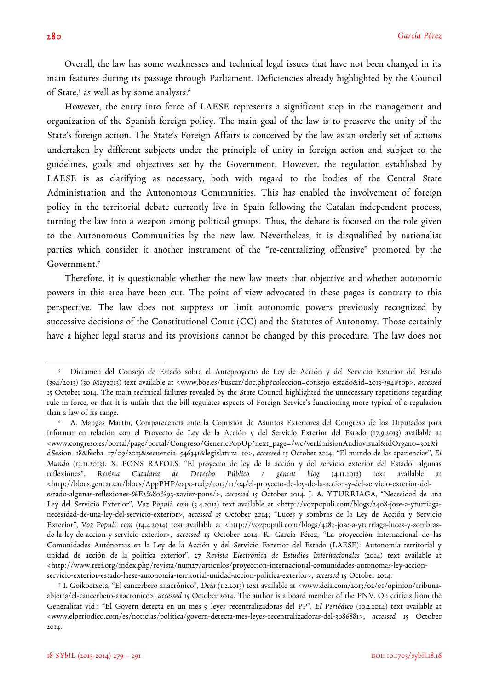$\overline{a}$ 

Overall, the law has some weaknesses and technical legal issues that have not been changed in its main features during its passage through Parliament. Deficiencies already highlighted by the Council of State,<sup>5</sup> as well as by some analysts.<sup>6</sup>

However, the entry into force of LAESE represents a significant step in the management and organization of the Spanish foreign policy. The main goal of the law is to preserve the unity of the State's foreign action. The State's Foreign Affairs is conceived by the law as an orderly set of actions undertaken by different subjects under the principle of unity in foreign action and subject to the guidelines, goals and objectives set by the Government. However, the regulation established by LAESE is as clarifying as necessary, both with regard to the bodies of the Central State Administration and the Autonomous Communities. This has enabled the involvement of foreign policy in the territorial debate currently live in Spain following the Catalan independent process, turning the law into a weapon among political groups. Thus, the debate is focused on the role given to the Autonomous Communities by the new law. Nevertheless, it is disqualified by nationalist parties which consider it another instrument of the "re-centralizing offensive" promoted by the Government.7

Therefore, it is questionable whether the new law meets that objective and whether autonomic powers in this area have been cut. The point of view advocated in these pages is contrary to this perspective. The law does not suppress or limit autonomic powers previously recognized by successive decisions of the Constitutional Court (CC) and the Statutes of Autonomy. Those certainly have a higher legal status and its provisions cannot be changed by this procedure. The law does not

<sup>5</sup> Dictamen del Consejo de Estado sobre el Anteproyecto de Ley de Acción y del Servicio Exterior del Estado (394/2013) (30 May2013) text available at <www.boe.es/buscar/doc.php?coleccion=consejo\_estado&id=2013-394#top>, *accessed* 15 October 2014. The main technical failures revealed by the State Council highlighted the unnecessary repetitions regarding rule in force, or that it is unfair that the bill regulates aspects of Foreign Service's functioning more typical of a regulation than a law of its range.

<sup>6</sup> A. Mangas Martín, Comparecencia ante la Comisión de Asuntos Exteriores del Congreso de los Diputados para informar en relación con el Proyecto de Ley de la Acción y del Servicio Exterior del Estado (17.9.2013) available at <www.congreso.es/portal/page/portal/Congreso/GenericPopUp?next\_page=/wc/verEmisionAudiovisual&idOrgano=302&i dSesion=18&fecha=17/09/2013&secuencia=546341&legislatura=10>, *accessed* 15 October 2014; "El mundo de las apariencias", *El Mundo* (13.11.2013). X. PONS RAFOLS, "El proyecto de ley de la acción y del servicio exterior del Estado: algunas reflexiones". Revista Catalana de Derecho Público / gencat blog (4.11.2013) text available <http://blocs.gencat.cat/blocs/AppPHP/eapc-rcdp/2013/11/04/el-proyecto-de-ley-de-la-accion-y-del-servicio-exterior-delestado-algunas-reflexiones-%E2%80%93-xavier-pons/>, *accessed* 15 October 2014. J. A. YTURRIAGA, "Necesidad de una Ley del Servicio Exterior", *Voz Populi. com* (3.4.2013) text available at <http://vozpopuli.com/blogs/2408-jose-a-yturriaganecesidad-de-una-ley-del-servicio-exterior>, *accessed* 15 October 2014; "Luces y sombras de la Ley de Acción y Servicio Exterior", *Voz Populi. com* (14.4.2014) text available at <http://vozpopuli.com/blogs/4282-jose-a-yturriaga-luces-y-sombrasde-la-ley-de-accion-y-servicio-exterior>, *accessed* 15 October 2014. R. García Pérez, "La proyección internacional de las Comunidades Autónomas en la Ley de la Acción y del Servicio Exterior del Estado (LAESE): Autonomía territorial y unidad de acción de la política exterior", 27 *Revista Electrónica de Estudios Internacionales* (2014) text available at <http://www.reei.org/index.php/revista/num27/articulos/proyeccion-internacional-comunidades-autonomas-ley-accionservicio-exterior-estado-laese-autonomia-territorial-unidad-accion-politica-exterior>, *accessed* 15 October 2014.

<sup>7</sup> I. Goikoetxeta, "El cancerbero anacrónico", *Deia* (1.2.2013) text available at <www.deia.com/2013/02/01/opinion/tribunaabierta/el-cancerbero-anacronico>, *accessed* 15 October 2014. The author is a board member of the PNV. On criticis from the Generalitat vid.: "El Govern detecta en un mes 9 leyes recentralizadoras del PP", *El Periódico* (10.2.2014) text available at <www.elperiodico.com/es/noticias/politica/govern-detecta-mes-leyes-recentralizadoras-del-3086881>, *accessed* 15 October 2014.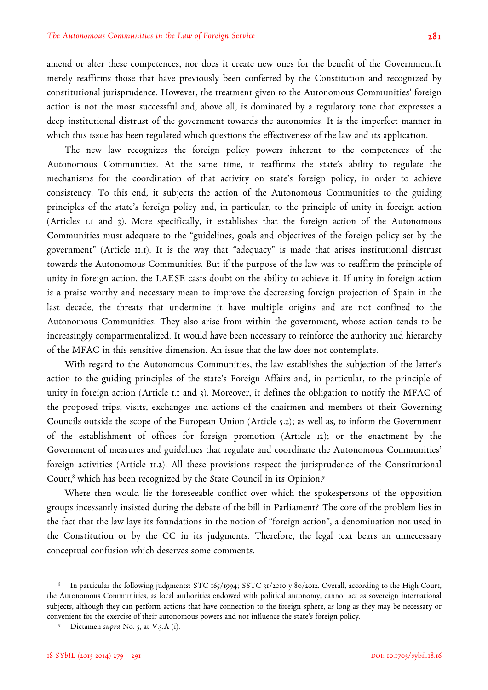amend or alter these competences, nor does it create new ones for the benefit of the Government.It merely reaffirms those that have previously been conferred by the Constitution and recognized by constitutional jurisprudence. However, the treatment given to the Autonomous Communities' foreign action is not the most successful and, above all, is dominated by a regulatory tone that expresses a deep institutional distrust of the government towards the autonomies. It is the imperfect manner in which this issue has been regulated which questions the effectiveness of the law and its application.

The new law recognizes the foreign policy powers inherent to the competences of the Autonomous Communities. At the same time, it reaffirms the state's ability to regulate the mechanisms for the coordination of that activity on state's foreign policy, in order to achieve consistency. To this end, it subjects the action of the Autonomous Communities to the guiding principles of the state's foreign policy and, in particular, to the principle of unity in foreign action (Articles 1.1 and 3). More specifically, it establishes that the foreign action of the Autonomous Communities must adequate to the "guidelines, goals and objectives of the foreign policy set by the government" (Article 11.1). It is the way that "adequacy" is made that arises institutional distrust towards the Autonomous Communities. But if the purpose of the law was to reaffirm the principle of unity in foreign action, the LAESE casts doubt on the ability to achieve it. If unity in foreign action is a praise worthy and necessary mean to improve the decreasing foreign projection of Spain in the last decade, the threats that undermine it have multiple origins and are not confined to the Autonomous Communities. They also arise from within the government, whose action tends to be increasingly compartmentalized. It would have been necessary to reinforce the authority and hierarchy of the MFAC in this sensitive dimension. An issue that the law does not contemplate.

With regard to the Autonomous Communities, the law establishes the subjection of the latter's action to the guiding principles of the state's Foreign Affairs and, in particular, to the principle of unity in foreign action (Article 1.1 and 3). Moreover, it defines the obligation to notify the MFAC of the proposed trips, visits, exchanges and actions of the chairmen and members of their Governing Councils outside the scope of the European Union (Article 5.2); as well as, to inform the Government of the establishment of offices for foreign promotion (Article 12); or the enactment by the Government of measures and guidelines that regulate and coordinate the Autonomous Communities' foreign activities (Article 11.2). All these provisions respect the jurisprudence of the Constitutional Court,<sup>8</sup> which has been recognized by the State Council in its Opinion.<sup>9</sup>

Where then would lie the foreseeable conflict over which the spokespersons of the opposition groups incessantly insisted during the debate of the bill in Parliament? The core of the problem lies in the fact that the law lays its foundations in the notion of "foreign action", a denomination not used in the Constitution or by the CC in its judgments. Therefore, the legal text bears an unnecessary conceptual confusion which deserves some comments.

<sup>8</sup> In particular the following judgments: STC 165/1994; SSTC 31/2010 y 80/2012. Overall, according to the High Court, the Autonomous Communities, as local authorities endowed with political autonomy, cannot act as sovereign international subjects, although they can perform actions that have connection to the foreign sphere, as long as they may be necessary or convenient for the exercise of their autonomous powers and not influence the state's foreign policy.

<sup>9</sup> Dictamen *supra* No. 5, at V.3.A (i).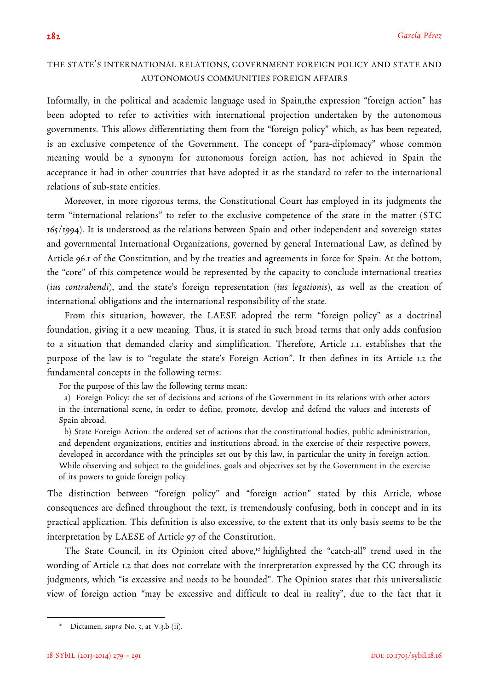## THE STATE'S INTERNATIONAL RELATIONS, GOVERNMENT FOREIGN POLICY AND STATE AND AUTONOMOUS COMMUNITIES FOREIGN AFFAIRS

Informally, in the political and academic language used in Spain,the expression "foreign action" has been adopted to refer to activities with international projection undertaken by the autonomous governments. This allows differentiating them from the "foreign policy" which, as has been repeated, is an exclusive competence of the Government. The concept of "para-diplomacy" whose common meaning would be a synonym for autonomous foreign action, has not achieved in Spain the acceptance it had in other countries that have adopted it as the standard to refer to the international relations of sub-state entities.

Moreover, in more rigorous terms, the Constitutional Court has employed in its judgments the term "international relations" to refer to the exclusive competence of the state in the matter (STC 165/1994). It is understood as the relations between Spain and other independent and sovereign states and governmental International Organizations, governed by general International Law, as defined by Article 96.1 of the Constitution, and by the treaties and agreements in force for Spain. At the bottom, the "core" of this competence would be represented by the capacity to conclude international treaties (*ius contrahendi*), and the state's foreign representation (*ius legationis*), as well as the creation of international obligations and the international responsibility of the state.

From this situation, however, the LAESE adopted the term "foreign policy" as a doctrinal foundation, giving it a new meaning. Thus, it is stated in such broad terms that only adds confusion to a situation that demanded clarity and simplification. Therefore, Article 1.1. establishes that the purpose of the law is to "regulate the state's Foreign Action". It then defines in its Article 1.2 the fundamental concepts in the following terms:

For the purpose of this law the following terms mean:

a) Foreign Policy: the set of decisions and actions of the Government in its relations with other actors in the international scene, in order to define, promote, develop and defend the values and interests of Spain abroad.

b) State Foreign Action: the ordered set of actions that the constitutional bodies, public administration, and dependent organizations, entities and institutions abroad, in the exercise of their respective powers, developed in accordance with the principles set out by this law, in particular the unity in foreign action. While observing and subject to the guidelines, goals and objectives set by the Government in the exercise of its powers to guide foreign policy.

The distinction between "foreign policy" and "foreign action" stated by this Article, whose consequences are defined throughout the text, is tremendously confusing, both in concept and in its practical application. This definition is also excessive, to the extent that its only basis seems to be the interpretation by LAESE of Article 97 of the Constitution.

The State Council, in its Opinion cited above,<sup>10</sup> highlighted the "catch-all" trend used in the wording of Article 1.2 that does not correlate with the interpretation expressed by the CC through its judgments, which "is excessive and needs to be bounded". The Opinion states that this universalistic view of foreign action "may be excessive and difficult to deal in reality", due to the fact that it

Dictamen, *supra* No. 5, at V.3.b (ii).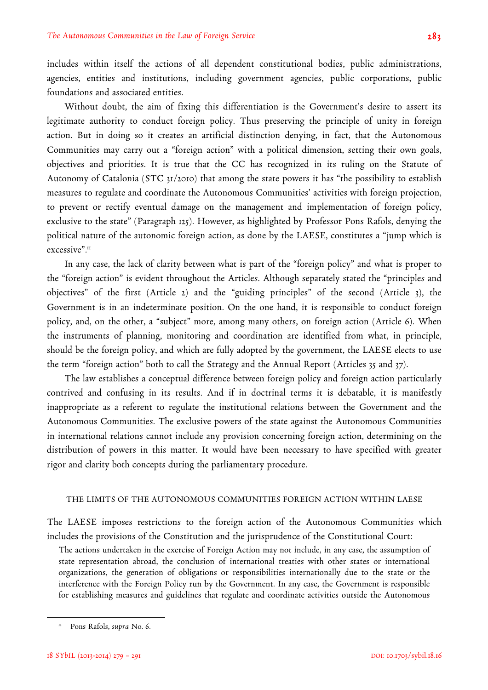includes within itself the actions of all dependent constitutional bodies, public administrations, agencies, entities and institutions, including government agencies, public corporations, public foundations and associated entities.

Without doubt, the aim of fixing this differentiation is the Government's desire to assert its legitimate authority to conduct foreign policy. Thus preserving the principle of unity in foreign action. But in doing so it creates an artificial distinction denying, in fact, that the Autonomous Communities may carry out a "foreign action" with a political dimension, setting their own goals, objectives and priorities. It is true that the CC has recognized in its ruling on the Statute of Autonomy of Catalonia (STC 31/2010) that among the state powers it has "the possibility to establish measures to regulate and coordinate the Autonomous Communities' activities with foreign projection, to prevent or rectify eventual damage on the management and implementation of foreign policy, exclusive to the state" (Paragraph 125). However, as highlighted by Professor Pons Rafols, denying the political nature of the autonomic foreign action, as done by the LAESE, constitutes a "jump which is excessive".<sup>11</sup>

In any case, the lack of clarity between what is part of the "foreign policy" and what is proper to the "foreign action" is evident throughout the Articles. Although separately stated the "principles and objectives" of the first (Article 2) and the "guiding principles" of the second (Article 3), the Government is in an indeterminate position. On the one hand, it is responsible to conduct foreign policy, and, on the other, a "subject" more, among many others, on foreign action (Article 6). When the instruments of planning, monitoring and coordination are identified from what, in principle, should be the foreign policy, and which are fully adopted by the government, the LAESE elects to use the term "foreign action" both to call the Strategy and the Annual Report (Articles 35 and 37).

The law establishes a conceptual difference between foreign policy and foreign action particularly contrived and confusing in its results. And if in doctrinal terms it is debatable, it is manifestly inappropriate as a referent to regulate the institutional relations between the Government and the Autonomous Communities. The exclusive powers of the state against the Autonomous Communities in international relations cannot include any provision concerning foreign action, determining on the distribution of powers in this matter. It would have been necessary to have specified with greater rigor and clarity both concepts during the parliamentary procedure.

#### THE LIMITS OF THE AUTONOMOUS COMMUNITIES FOREIGN ACTION WITHIN LAESE

The LAESE imposes restrictions to the foreign action of the Autonomous Communities which includes the provisions of the Constitution and the jurisprudence of the Constitutional Court:

The actions undertaken in the exercise of Foreign Action may not include, in any case, the assumption of state representation abroad, the conclusion of international treaties with other states or international organizations, the generation of obligations or responsibilities internationally due to the state or the interference with the Foreign Policy run by the Government. In any case, the Government is responsible for establishing measures and guidelines that regulate and coordinate activities outside the Autonomous

<sup>11</sup> Pons Rafols, *supra* No. 6.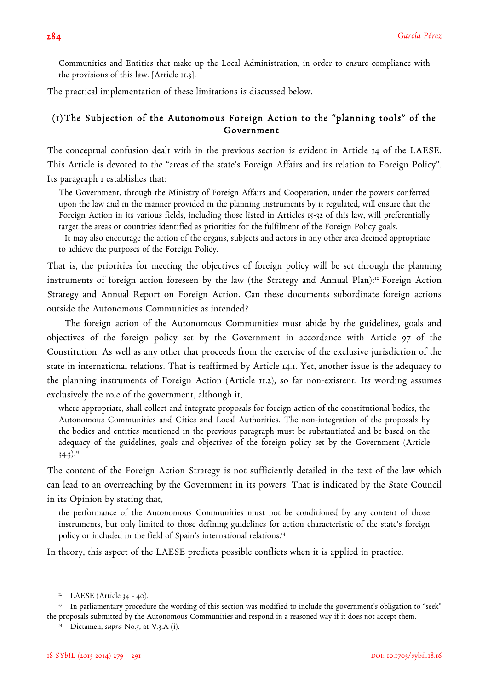Communities and Entities that make up the Local Administration, in order to ensure compliance with the provisions of this law. [Article 11.3].

The practical implementation of these limitations is discussed below.

## (1)The Subjection of the Autonomous Foreign Action to the "planning tools" of the Government

The conceptual confusion dealt with in the previous section is evident in Article 14 of the LAESE. This Article is devoted to the "areas of the state's Foreign Affairs and its relation to Foreign Policy". Its paragraph 1 establishes that:

The Government, through the Ministry of Foreign Affairs and Cooperation, under the powers conferred upon the law and in the manner provided in the planning instruments by it regulated, will ensure that the Foreign Action in its various fields, including those listed in Articles 15-32 of this law, will preferentially target the areas or countries identified as priorities for the fulfilment of the Foreign Policy goals.

It may also encourage the action of the organs, subjects and actors in any other area deemed appropriate to achieve the purposes of the Foreign Policy.

That is, the priorities for meeting the objectives of foreign policy will be set through the planning instruments of foreign action foreseen by the law (the Strategy and Annual Plan):<sup>12</sup> Foreign Action Strategy and Annual Report on Foreign Action. Can these documents subordinate foreign actions outside the Autonomous Communities as intended?

The foreign action of the Autonomous Communities must abide by the guidelines, goals and objectives of the foreign policy set by the Government in accordance with Article 97 of the Constitution. As well as any other that proceeds from the exercise of the exclusive jurisdiction of the state in international relations. That is reaffirmed by Article 14.1. Yet, another issue is the adequacy to the planning instruments of Foreign Action (Article 11.2), so far non-existent. Its wording assumes exclusively the role of the government, although it,

where appropriate, shall collect and integrate proposals for foreign action of the constitutional bodies, the Autonomous Communities and Cities and Local Authorities. The non-integration of the proposals by the bodies and entities mentioned in the previous paragraph must be substantiated and be based on the adequacy of the guidelines, goals and objectives of the foreign policy set by the Government (Article  $34.3$ ).<sup>13</sup>

The content of the Foreign Action Strategy is not sufficiently detailed in the text of the law which can lead to an overreaching by the Government in its powers. That is indicated by the State Council in its Opinion by stating that,

the performance of the Autonomous Communities must not be conditioned by any content of those instruments, but only limited to those defining guidelines for action characteristic of the state's foreign policy or included in the field of Spain's international relations.14

In theory, this aspect of the LAESE predicts possible conflicts when it is applied in practice.

 $12$  LAESE (Article 34 - 40).

<sup>&</sup>lt;sup>13</sup> In parliamentary procedure the wording of this section was modified to include the government's obligation to "seek" the proposals submitted by the Autonomous Communities and respond in a reasoned way if it does not accept them.

<sup>&</sup>lt;sup>14</sup> Dictamen, *supra* No.5, at V.3.A (i).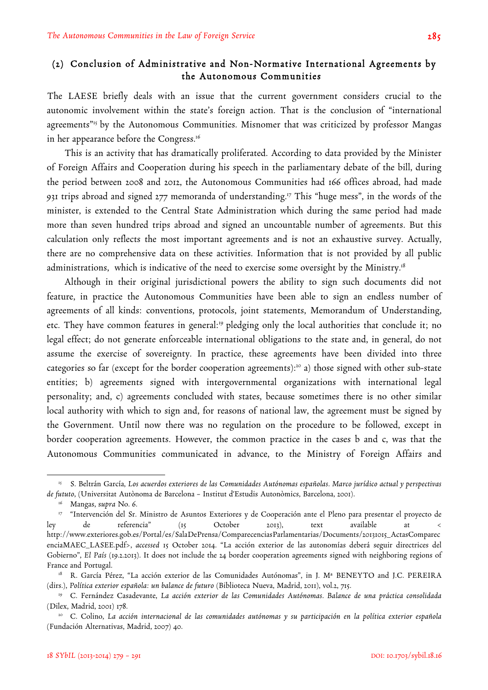## (2) Conclusion of Administrative and Non-Normative International Agreements by the Autonomous Communities

The LAESE briefly deals with an issue that the current government considers crucial to the autonomic involvement within the state's foreign action. That is the conclusion of "international agreements"<sup>15</sup> by the Autonomous Communities. Misnomer that was criticized by professor Mangas in her appearance before the Congress.16

This is an activity that has dramatically proliferated. According to data provided by the Minister of Foreign Affairs and Cooperation during his speech in the parliamentary debate of the bill, during the period between 2008 and 2012, the Autonomous Communities had 166 offices abroad, had made 931 trips abroad and signed 277 memoranda of understanding.17 This "huge mess", in the words of the minister, is extended to the Central State Administration which during the same period had made more than seven hundred trips abroad and signed an uncountable number of agreements. But this calculation only reflects the most important agreements and is not an exhaustive survey. Actually, there are no comprehensive data on these activities. Information that is not provided by all public administrations, which is indicative of the need to exercise some oversight by the Ministry.<sup>18</sup>

Although in their original jurisdictional powers the ability to sign such documents did not feature, in practice the Autonomous Communities have been able to sign an endless number of agreements of all kinds: conventions, protocols, joint statements, Memorandum of Understanding, etc. They have common features in general:<sup>19</sup> pledging only the local authorities that conclude it; no legal effect; do not generate enforceable international obligations to the state and, in general, do not assume the exercise of sovereignty. In practice, these agreements have been divided into three categories so far (except for the border cooperation agreements):<sup>20</sup> a) those signed with other sub-state entities; b) agreements signed with intergovernmental organizations with international legal personality; and, c) agreements concluded with states, because sometimes there is no other similar local authority with which to sign and, for reasons of national law, the agreement must be signed by the Government. Until now there was no regulation on the procedure to be followed, except in border cooperation agreements. However, the common practice in the cases b and c, was that the Autonomous Communities communicated in advance, to the Ministry of Foreign Affairs and

<sup>15</sup> S. Beltrán García, *Los acuerdos exteriores de las Comunidades Autónomas españolas. Marco jurídico actual y perspectivas de fututo*, (Universitat Autònoma de Barcelona – Institut d'Estudis Autonòmics, Barcelona, 2001).

<sup>16</sup> Mangas, s*upra* No. 6.

<sup>17</sup> "Intervención del Sr. Ministro de Asuntos Exteriores y de Cooperación ante el Pleno para presentar el proyecto de ley de referencia" (15 October 2013), text available at < http://www.exteriores.gob.es/Portal/es/SalaDePrensa/ComparecenciasParlamentarias/Documents/20131015\_ActasComparec enciaMAEC\_LASEE.pdf>, *accessed* 15 October 2014. "La acción exterior de las autonomías deberá seguir directrices del Gobierno", *El País* (19.2.2013). It does not include the 24 border cooperation agreements signed with neighboring regions of France and Portugal.

<sup>&</sup>lt;sup>18</sup> R. García Pérez, "La acción exterior de las Comunidades Autónomas", in J. M<sup>a</sup> BENEYTO and J.C. PEREIRA (dirs.), *Política exterior española: un balance de futuro* (Biblioteca Nueva, Madrid, 2011), vol.2, 715.

<sup>19</sup> C. Fernández Casadevante, *La acción exterior de las Comunidades Autónomas. Balance de una práctica consolidada* (Dilex, Madrid, 2001) 178.

<sup>20</sup> C. Colino, *La acción internacional de las comunidades autónomas y su participación en la política exterior española* (Fundación Alternativas, Madrid, 2007) 40.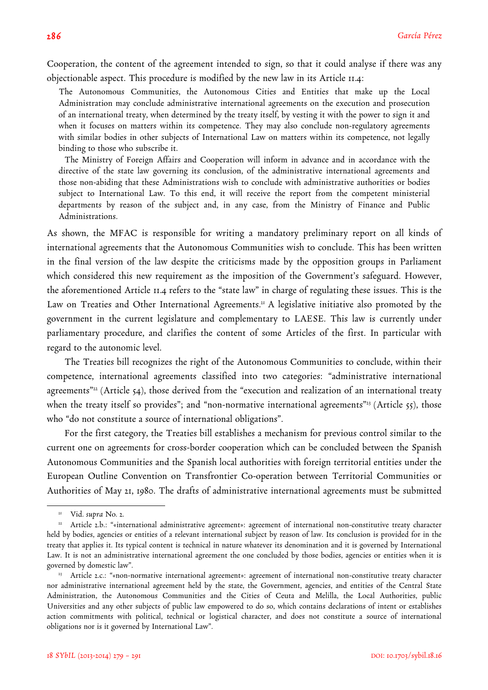Cooperation, the content of the agreement intended to sign, so that it could analyse if there was any objectionable aspect. This procedure is modified by the new law in its Article 11.4:

The Autonomous Communities, the Autonomous Cities and Entities that make up the Local Administration may conclude administrative international agreements on the execution and prosecution of an international treaty, when determined by the treaty itself, by vesting it with the power to sign it and when it focuses on matters within its competence. They may also conclude non-regulatory agreements with similar bodies in other subjects of International Law on matters within its competence, not legally binding to those who subscribe it.

The Ministry of Foreign Affairs and Cooperation will inform in advance and in accordance with the directive of the state law governing its conclusion, of the administrative international agreements and those non-abiding that these Administrations wish to conclude with administrative authorities or bodies subject to International Law. To this end, it will receive the report from the competent ministerial departments by reason of the subject and, in any case, from the Ministry of Finance and Public Administrations.

As shown, the MFAC is responsible for writing a mandatory preliminary report on all kinds of international agreements that the Autonomous Communities wish to conclude. This has been written in the final version of the law despite the criticisms made by the opposition groups in Parliament which considered this new requirement as the imposition of the Government's safeguard. However, the aforementioned Article 11.4 refers to the "state law" in charge of regulating these issues. This is the Law on Treaties and Other International Agreements.<sup>21</sup> A legislative initiative also promoted by the government in the current legislature and complementary to LAESE. This law is currently under parliamentary procedure, and clarifies the content of some Articles of the first. In particular with regard to the autonomic level.

The Treaties bill recognizes the right of the Autonomous Communities to conclude, within their competence, international agreements classified into two categories: "administrative international agreements"<sup>22</sup> (Article 54), those derived from the "execution and realization of an international treaty when the treaty itself so provides"; and "non-normative international agreements"<sup>23</sup> (Article 55), those who "do not constitute a source of international obligations".

For the first category, the Treaties bill establishes a mechanism for previous control similar to the current one on agreements for cross-border cooperation which can be concluded between the Spanish Autonomous Communities and the Spanish local authorities with foreign territorial entities under the European Outline Convention on Transfrontier Co-operation between Territorial Communities or Authorities of May 21, 1980. The drafts of administrative international agreements must be submitted

<sup>21</sup> Vid. *supra* No. 2.

<sup>&</sup>lt;sup>22</sup> Article 2.b.: "«international administrative agreement»: agreement of international non-constitutive treaty character held by bodies, agencies or entities of a relevant international subject by reason of law. Its conclusion is provided for in the treaty that applies it. Its typical content is technical in nature whatever its denomination and it is governed by International Law. It is not an administrative international agreement the one concluded by those bodies, agencies or entities when it is governed by domestic law".

<sup>23</sup> Article 2.c.: "«non-normative international agreement»: agreement of international non-constitutive treaty character nor administrative international agreement held by the state, the Government, agencies, and entities of the Central State Administration, the Autonomous Communities and the Cities of Ceuta and Melilla, the Local Authorities, public Universities and any other subjects of public law empowered to do so, which contains declarations of intent or establishes action commitments with political, technical or logistical character, and does not constitute a source of international obligations nor is it governed by International Law".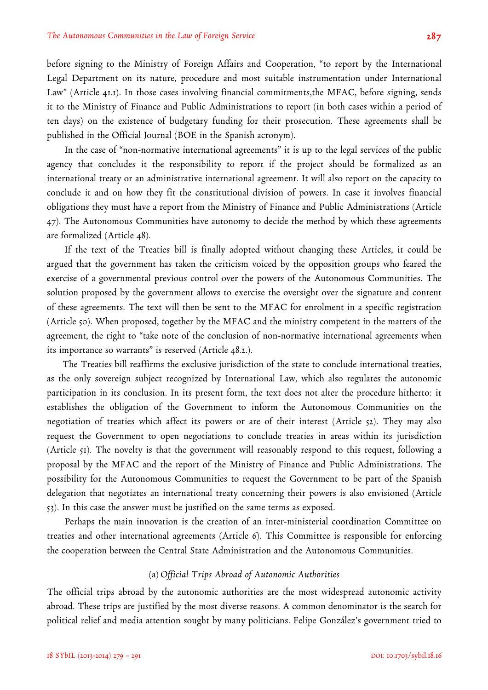before signing to the Ministry of Foreign Affairs and Cooperation, "to report by the International Legal Department on its nature, procedure and most suitable instrumentation under International Law" (Article 41.1). In those cases involving financial commitments,the MFAC, before signing, sends it to the Ministry of Finance and Public Administrations to report (in both cases within a period of ten days) on the existence of budgetary funding for their prosecution. These agreements shall be published in the Official Journal (BOE in the Spanish acronym).

In the case of "non-normative international agreements" it is up to the legal services of the public agency that concludes it the responsibility to report if the project should be formalized as an international treaty or an administrative international agreement. It will also report on the capacity to conclude it and on how they fit the constitutional division of powers. In case it involves financial obligations they must have a report from the Ministry of Finance and Public Administrations (Article 47). The Autonomous Communities have autonomy to decide the method by which these agreements are formalized (Article 48).

If the text of the Treaties bill is finally adopted without changing these Articles, it could be argued that the government has taken the criticism voiced by the opposition groups who feared the exercise of a governmental previous control over the powers of the Autonomous Communities. The solution proposed by the government allows to exercise the oversight over the signature and content of these agreements. The text will then be sent to the MFAC for enrolment in a specific registration (Article 50). When proposed, together by the MFAC and the ministry competent in the matters of the agreement, the right to "take note of the conclusion of non-normative international agreements when its importance so warrants" is reserved (Article 48.2.).

The Treaties bill reaffirms the exclusive jurisdiction of the state to conclude international treaties, as the only sovereign subject recognized by International Law, which also regulates the autonomic participation in its conclusion. In its present form, the text does not alter the procedure hitherto: it establishes the obligation of the Government to inform the Autonomous Communities on the negotiation of treaties which affect its powers or are of their interest (Article 52). They may also request the Government to open negotiations to conclude treaties in areas within its jurisdiction (Article 51). The novelty is that the government will reasonably respond to this request, following a proposal by the MFAC and the report of the Ministry of Finance and Public Administrations. The possibility for the Autonomous Communities to request the Government to be part of the Spanish delegation that negotiates an international treaty concerning their powers is also envisioned (Article 53). In this case the answer must be justified on the same terms as exposed.

Perhaps the main innovation is the creation of an inter-ministerial coordination Committee on treaties and other international agreements (Article 6). This Committee is responsible for enforcing the cooperation between the Central State Administration and the Autonomous Communities.

## (a) *Official Trips Abroad of Autonomic Authorities*

The official trips abroad by the autonomic authorities are the most widespread autonomic activity abroad. These trips are justified by the most diverse reasons. A common denominator is the search for political relief and media attention sought by many politicians. Felipe González's government tried to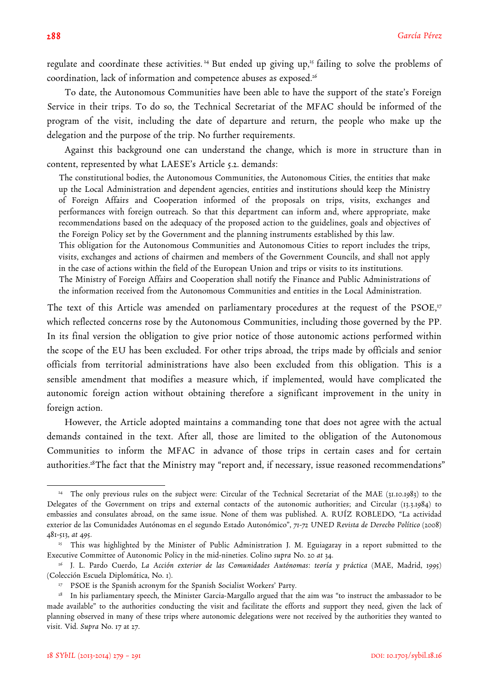regulate and coordinate these activities.<sup>24</sup> But ended up giving up,<sup>25</sup> failing to solve the problems of coordination, lack of information and competence abuses as exposed.<sup>26</sup>

To date, the Autonomous Communities have been able to have the support of the state's Foreign Service in their trips. To do so, the Technical Secretariat of the MFAC should be informed of the program of the visit, including the date of departure and return, the people who make up the delegation and the purpose of the trip. No further requirements.

Against this background one can understand the change, which is more in structure than in content, represented by what LAESE's Article 5.2. demands:

The constitutional bodies, the Autonomous Communities, the Autonomous Cities, the entities that make up the Local Administration and dependent agencies, entities and institutions should keep the Ministry of Foreign Affairs and Cooperation informed of the proposals on trips, visits, exchanges and performances with foreign outreach. So that this department can inform and, where appropriate, make recommendations based on the adequacy of the proposed action to the guidelines, goals and objectives of the Foreign Policy set by the Government and the planning instruments established by this law. This obligation for the Autonomous Communities and Autonomous Cities to report includes the trips, visits, exchanges and actions of chairmen and members of the Government Councils, and shall not apply in the case of actions within the field of the European Union and trips or visits to its institutions. The Ministry of Foreign Affairs and Cooperation shall notify the Finance and Public Administrations of the information received from the Autonomous Communities and entities in the Local Administration.

The text of this Article was amended on parliamentary procedures at the request of the PSOE,<sup>27</sup> which reflected concerns rose by the Autonomous Communities, including those governed by the PP. In its final version the obligation to give prior notice of those autonomic actions performed within the scope of the EU has been excluded. For other trips abroad, the trips made by officials and senior officials from territorial administrations have also been excluded from this obligation. This is a sensible amendment that modifies a measure which, if implemented, would have complicated the autonomic foreign action without obtaining therefore a significant improvement in the unity in foreign action.

However, the Article adopted maintains a commanding tone that does not agree with the actual demands contained in the text. After all, those are limited to the obligation of the Autonomous Communities to inform the MFAC in advance of those trips in certain cases and for certain authorities.<sup>28</sup>The fact that the Ministry may "report and, if necessary, issue reasoned recommendations"

<sup>&</sup>lt;sup>24</sup> The only previous rules on the subject were: Circular of the Technical Secretariat of the MAE (31.10.1983) to the Delegates of the Government on trips and external contacts of the autonomic authorities; and Circular (13.3.1984) to embassies and consulates abroad, on the same issue. None of them was published. A. RUÍZ ROBLEDO, "La actividad exterior de las Comunidades Autónomas en el segundo Estado Autonómico", *71-72 UNED Revista de Derecho Político* (2008) 481-513, *at* 495.

<sup>&</sup>lt;sup>25</sup> This was highlighted by the Minister of Public Administration J. M. Eguiagaray in a report submitted to the Executive Committee of Autonomic Policy in the mid-nineties. Colino *supra* No. 20 *at* 34.

<sup>26</sup> J. L. Pardo Cuerdo, *La Acción exterior de las Comunidades Autónomas: teoría y práctica* (MAE, Madrid, 1995) (Colección Escuela Diplomática, No. 1).

<sup>&</sup>lt;sup>27</sup> PSOE is the Spanish acronym for the Spanish Socialist Workers' Party.

<sup>&</sup>lt;sup>28</sup> In his parliamentary speech, the Minister Garcia-Margallo argued that the aim was "to instruct the ambassador to be made available" to the authorities conducting the visit and facilitate the efforts and support they need, given the lack of planning observed in many of these trips where autonomic delegations were not received by the authorities they wanted to visit. Vid. *Supra* No. 17 at 27.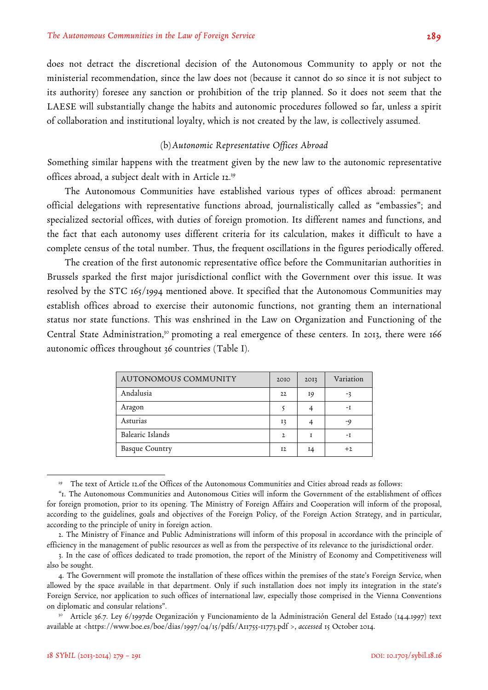does not detract the discretional decision of the Autonomous Community to apply or not the ministerial recommendation, since the law does not (because it cannot do so since it is not subject to its authority) foresee any sanction or prohibition of the trip planned. So it does not seem that the LAESE will substantially change the habits and autonomic procedures followed so far, unless a spirit of collaboration and institutional loyalty, which is not created by the law, is collectively assumed.

## (b)*Autonomic Representative Offices Abroad*

Something similar happens with the treatment given by the new law to the autonomic representative offices abroad, a subject dealt with in Article 12.29

The Autonomous Communities have established various types of offices abroad: permanent official delegations with representative functions abroad, journalistically called as "embassies"; and specialized sectorial offices, with duties of foreign promotion. Its different names and functions, and the fact that each autonomy uses different criteria for its calculation, makes it difficult to have a complete census of the total number. Thus, the frequent oscillations in the figures periodically offered.

The creation of the first autonomic representative office before the Communitarian authorities in Brussels sparked the first major jurisdictional conflict with the Government over this issue. It was resolved by the STC 165/1994 mentioned above. It specified that the Autonomous Communities may establish offices abroad to exercise their autonomic functions, not granting them an international status nor state functions. This was enshrined in the Law on Organization and Functioning of the Central State Administration,<sup>30</sup> promoting a real emergence of these centers. In 2013, there were 166 autonomic offices throughout 36 countries (Table I).

| AUTONOMOUS COMMUNITY  | 2010           | 2013 | Variation |
|-----------------------|----------------|------|-----------|
| Andalusia             | 22             | 19   |           |
| Aragon                |                |      | -1        |
| Asturias              | 13             |      | -9        |
| Balearic Islands      | 2              |      | -1        |
| <b>Basque Country</b> | I <sub>2</sub> | 14   | $+2$      |

<sup>&</sup>lt;sup>29</sup> The text of Article 12.of the Offices of the Autonomous Communities and Cities abroad reads as follows:

<sup>&</sup>quot;1. The Autonomous Communities and Autonomous Cities will inform the Government of the establishment of offices for foreign promotion, prior to its opening. The Ministry of Foreign Affairs and Cooperation will inform of the proposal, according to the guidelines, goals and objectives of the Foreign Policy, of the Foreign Action Strategy, and in particular, according to the principle of unity in foreign action.

<sup>2.</sup> The Ministry of Finance and Public Administrations will inform of this proposal in accordance with the principle of efficiency in the management of public resources as well as from the perspective of its relevance to the jurisdictional order.

<sup>3.</sup> In the case of offices dedicated to trade promotion, the report of the Ministry of Economy and Competitiveness will also be sought.

<sup>4.</sup> The Government will promote the installation of these offices within the premises of the state's Foreign Service, when allowed by the space available in that department. Only if such installation does not imply its integration in the state's Foreign Service, nor application to such offices of international law, especially those comprised in the Vienna Conventions on diplomatic and consular relations".

<sup>30</sup> Article 36.7. Ley 6/1997de Organización y Funcionamiento de la Administración General del Estado (14.4.1997) text available at <https://www.boe.es/boe/dias/1997/04/15/pdfs/A11755-11773.pdf >, *accessed* 15 October 2014.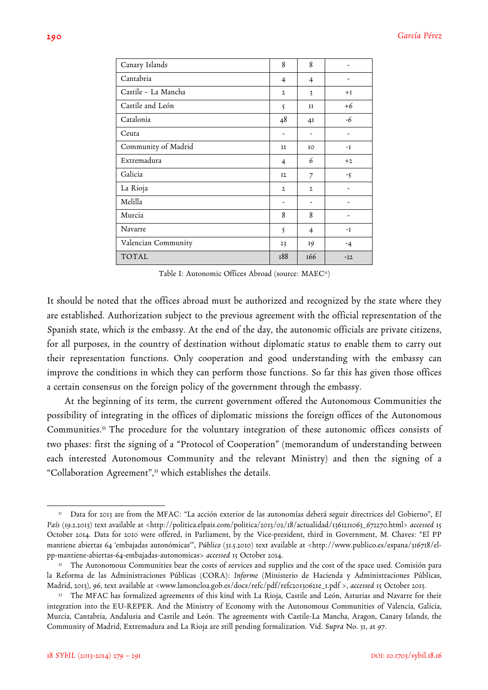| Canary Islands      | 8              | 8              |       |
|---------------------|----------------|----------------|-------|
| Cantabria           | $\overline{4}$ | $\overline{4}$ |       |
| Castile - La Mancha | $\mathbf{2}$   | 3              | $+I$  |
| Castile and León    | 5              | II             | $+6$  |
| Catalonia           | 48             | 4I             | -6    |
| Ceuta               |                |                |       |
| Community of Madrid | II             | IO             | $-I$  |
| Extremadura         | $\overline{4}$ | 6              | $+2$  |
| Galicia             | <b>I2</b>      | $\overline{7}$ | $-5$  |
| La Rioja            | $\mathbf{2}$   | $\mathbf{2}$   |       |
| Melilla             | ۰              | ۰              |       |
| Murcia              | 8              | 8              |       |
| Navarre             | $\varsigma$    | $\overline{4}$ | $-I$  |
| Valencian Community | 23             | 19             | $-4$  |
| <b>TOTAL</b>        | 188            | 166            | $-22$ |

Table I: Autonomic Offices Abroad (source: MAEC31)

It should be noted that the offices abroad must be authorized and recognized by the state where they are established. Authorization subject to the previous agreement with the official representation of the Spanish state, which is the embassy. At the end of the day, the autonomic officials are private citizens, for all purposes, in the country of destination without diplomatic status to enable them to carry out their representation functions. Only cooperation and good understanding with the embassy can improve the conditions in which they can perform those functions. So far this has given those offices a certain consensus on the foreign policy of the government through the embassy.

At the beginning of its term, the current government offered the Autonomous Communities the possibility of integrating in the offices of diplomatic missions the foreign offices of the Autonomous Communities.32 The procedure for the voluntary integration of these autonomic offices consists of two phases: first the signing of a "Protocol of Cooperation" (memorandum of understanding between each interested Autonomous Community and the relevant Ministry) and then the signing of a "Collaboration Agreement",33 which establishes the details.

<sup>31</sup> Data for 2013 are from the MFAC: "La acción exterior de las autonomías deberá seguir directrices del Gobierno", *El País* (19.2.2013) text available at <http://politica.elpais.com/politica/2013/02/18/actualidad/1361211063\_672270.html> *accessed* 15 October 2014. Data for 2010 were offered, in Parliament, by the Vice-president, third in Government, M. Chaves: "El PP mantiene abiertas 64 'embajadas autonómicas'", *Público* (31.5.2010) text available at <http://www.publico.es/espana/316718/elpp-mantiene-abiertas-64-embajadas-autonomicas> *accessed* 15 October 2014.

<sup>&</sup>lt;sup>32</sup> The Autonomous Communities bear the costs of services and supplies and the cost of the space used. Comisión para la Reforma de las Administraciones Públicas (CORA): *Informe* (Ministerio de Hacienda y Administraciones Públicas, Madrid, 2013), 96, text available at <www.lamoncloa.gob.es/docs/refc/pdf/refc20130621e\_1.pdf >, *accessed* 15 October 2013.

<sup>&</sup>lt;sup>33</sup> The MFAC has formalized agreements of this kind with La Rioja, Castile and León, Asturias and Navarre for their integration into the EU-REPER. And the Ministry of Economy with the Autonomous Communities of Valencia, Galicia, Murcia, Cantabria, Andalusia and Castile and León. The agreements with Castile-La Mancha, Aragon, Canary Islands, the Community of Madrid, Extremadura and La Rioja are still pending formalization. Vid. S*upra* No. 31, at 97.